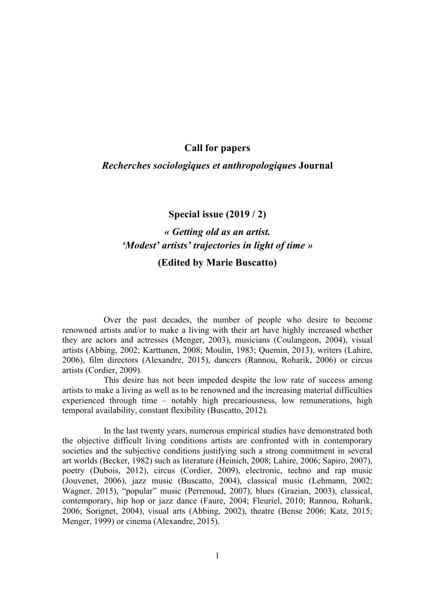## **Call for papers**

#### *Recherches sociologiques et anthropologiques* **Journal**

# **Special issue (2019 / 2)**

# *« Getting old as an artist. 'Modest' artists' trajectories in light of time »*

# **(Edited by Marie Buscatto)**

Over the past decades, the number of people who desire to become renowned artists and/or to make a living with their art have highly increased whether they are actors and actresses (Menger, 2003), musicians (Coulangeon, 2004), visual artists (Abbing, 2002; Karttunen, 2008; Moulin, 1983; Quemin, 2013), writers (Lahire, 2006), film directors (Alexandre, 2015), dancers (Rannou, Roharik, 2006) or circus artists (Cordier, 2009).

This desire has not been impeded despite the low rate of success among artists to make a living as well as to be renowned and the increasing material difficulties experienced through time – notably high precariousness, low remunerations, high temporal availability, constant flexibility (Buscatto, 2012).

In the last twenty years, numerous empirical studies have demonstrated both the objective difficult living conditions artists are confronted with in contemporary societies and the subjective conditions justifying such a strong commitment in several art worlds (Becker, 1982) such as literature (Heinich, 2008; Lahire, 2006; Sapiro, 2007), poetry (Dubois, 2012), circus (Cordier, 2009), electronic, techno and rap music (Jouvenet, 2006), jazz music (Buscatto, 2004), classical music (Lehmann, 2002; Wagner, 2015), "popular" music (Perrenoud, 2007), blues (Grazian, 2003), classical, contemporary, hip hop or jazz dance (Faure, 2004; Fleuriel, 2010; Rannou, Roharik, 2006; Sorignet, 2004), visual arts (Abbing, 2002), theatre (Bense 2006; Katz, 2015; Menger, 1999) or cinema (Alexandre, 2015).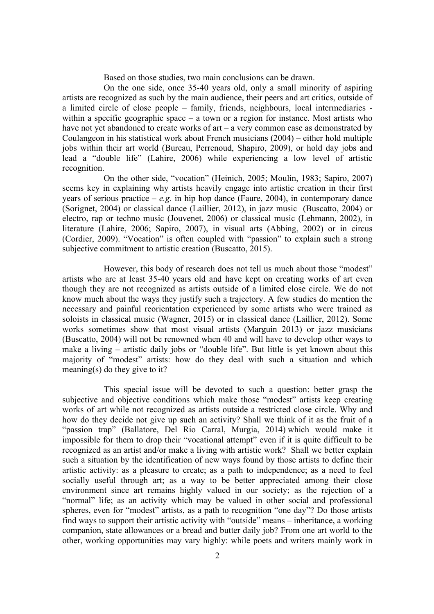Based on those studies, two main conclusions can be drawn.

On the one side, once 35-40 years old, only a small minority of aspiring artists are recognized as such by the main audience, their peers and art critics, outside of a limited circle of close people – family, friends, neighbours, local intermediaries within a specific geographic space – a town or a region for instance. Most artists who have not yet abandoned to create works of art – a very common case as demonstrated by Coulangeon in his statistical work about French musicians (2004) – either hold multiple jobs within their art world (Bureau, Perrenoud, Shapiro, 2009), or hold day jobs and lead a "double life" (Lahire, 2006) while experiencing a low level of artistic recognition.

On the other side, "vocation" (Heinich, 2005; Moulin, 1983; Sapiro, 2007) seems key in explaining why artists heavily engage into artistic creation in their first years of serious practice –  $e.g.$  in hip hop dance (Faure, 2004), in contemporary dance (Sorignet, 2004) or classical dance (Laillier, 2012), in jazz music (Buscatto, 2004) or electro, rap or techno music (Jouvenet, 2006) or classical music (Lehmann, 2002), in literature (Lahire, 2006; Sapiro, 2007), in visual arts (Abbing, 2002) or in circus (Cordier, 2009). "Vocation" is often coupled with "passion" to explain such a strong subjective commitment to artistic creation (Buscatto, 2015).

However, this body of research does not tell us much about those "modest" artists who are at least 35-40 years old and have kept on creating works of art even though they are not recognized as artists outside of a limited close circle. We do not know much about the ways they justify such a trajectory. A few studies do mention the necessary and painful reorientation experienced by some artists who were trained as soloists in classical music (Wagner, 2015) or in classical dance (Laillier, 2012). Some works sometimes show that most visual artists (Marguin 2013) or jazz musicians (Buscatto, 2004) will not be renowned when 40 and will have to develop other ways to make a living – artistic daily jobs or "double life". But little is yet known about this majority of "modest" artists: how do they deal with such a situation and which meaning(s) do they give to it?

This special issue will be devoted to such a question: better grasp the subjective and objective conditions which make those "modest" artists keep creating works of art while not recognized as artists outside a restricted close circle. Why and how do they decide not give up such an activity? Shall we think of it as the fruit of a "passion trap" (Ballatore, Del Rio Carral, Murgia, 2014) which would make it impossible for them to drop their "vocational attempt" even if it is quite difficult to be recognized as an artist and/or make a living with artistic work? Shall we better explain such a situation by the identification of new ways found by those artists to define their artistic activity: as a pleasure to create; as a path to independence; as a need to feel socially useful through art; as a way to be better appreciated among their close environment since art remains highly valued in our society; as the rejection of a "normal" life; as an activity which may be valued in other social and professional spheres, even for "modest" artists, as a path to recognition "one day"? Do those artists find ways to support their artistic activity with "outside" means – inheritance, a working companion, state allowances or a bread and butter daily job? From one art world to the other, working opportunities may vary highly: while poets and writers mainly work in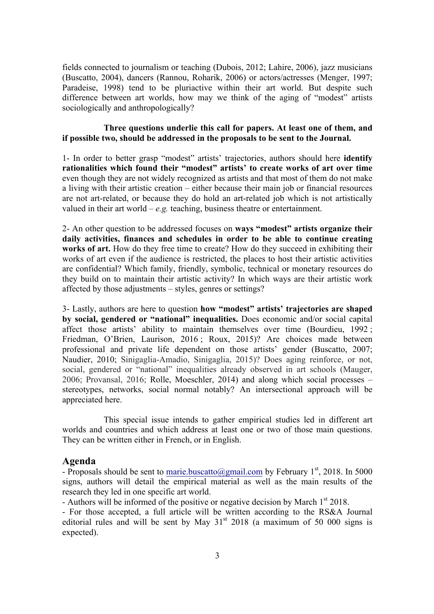fields connected to journalism or teaching (Dubois, 2012; Lahire, 2006), jazz musicians (Buscatto, 2004), dancers (Rannou, Roharik, 2006) or actors/actresses (Menger, 1997; Paradeise, 1998) tend to be pluriactive within their art world. But despite such difference between art worlds, how may we think of the aging of "modest" artists sociologically and anthropologically?

#### **Three questions underlie this call for papers. At least one of them, and if possible two, should be addressed in the proposals to be sent to the Journal.**

1- In order to better grasp "modest" artists' trajectories, authors should here **identify rationalities which found their "modest" artists' to create works of art over time** even though they are not widely recognized as artists and that most of them do not make a living with their artistic creation – either because their main job or financial resources are not art-related, or because they do hold an art-related job which is not artistically valued in their art world –  $e.g.$  teaching, business theatre or entertainment.

2- An other question to be addressed focuses on **ways "modest" artists organize their daily activities, finances and schedules in order to be able to continue creating works of art.** How do they free time to create? How do they succeed in exhibiting their works of art even if the audience is restricted, the places to host their artistic activities are confidential? Which family, friendly, symbolic, technical or monetary resources do they build on to maintain their artistic activity? In which ways are their artistic work affected by those adjustments – styles, genres or settings?

3- Lastly, authors are here to question **how "modest" artists' trajectories are shaped by social, gendered or "national" inequalities.** Does economic and/or social capital affect those artists' ability to maintain themselves over time (Bourdieu, 1992 ; Friedman, O'Brien, Laurison, 2016 ; Roux, 2015)? Are choices made between professional and private life dependent on those artists' gender (Buscatto, 2007; Naudier, 2010; Sinigaglia-Amadio, Sinigaglia, 2015)? Does aging reinforce, or not, social, gendered or "national" inequalities already observed in art schools (Mauger, 2006; Provansal, 2016; Rolle, Moeschler, 2014) and along which social processes – stereotypes, networks, social normal notably? An intersectional approach will be appreciated here.

This special issue intends to gather empirical studies led in different art worlds and countries and which address at least one or two of those main questions. They can be written either in French, or in English.

#### **Agenda**

- Proposals should be sent to marie.buscatto@gmail.com by February  $1<sup>st</sup>$ , 2018. In 5000 signs, authors will detail the empirical material as well as the main results of the research they led in one specific art world.

- Authors will be informed of the positive or negative decision by March  $1<sup>st</sup> 2018$ .

- For those accepted, a full article will be written according to the RS&A Journal editorial rules and will be sent by May  $31<sup>st</sup>$  2018 (a maximum of 50 000 signs is expected).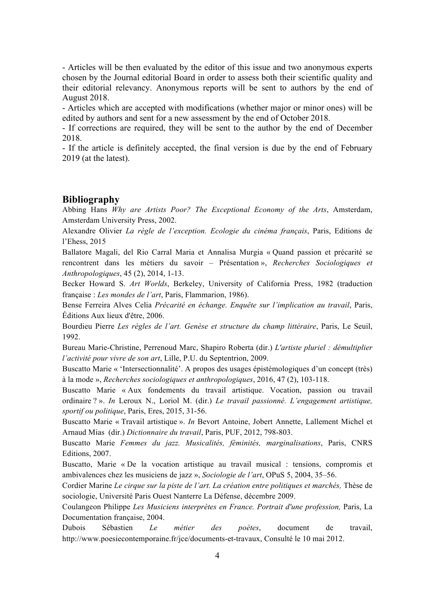- Articles will be then evaluated by the editor of this issue and two anonymous experts chosen by the Journal editorial Board in order to assess both their scientific quality and their editorial relevancy. Anonymous reports will be sent to authors by the end of August 2018.

- Articles which are accepted with modifications (whether major or minor ones) will be edited by authors and sent for a new assessment by the end of October 2018.

- If corrections are required, they will be sent to the author by the end of December 2018.

- If the article is definitely accepted, the final version is due by the end of February 2019 (at the latest).

#### **Bibliography**

Abbing Hans *Why are Artists Poor? The Exceptional Economy of the Arts*, Amsterdam, Amsterdam University Press, 2002.

Alexandre Olivier *La règle de l'exception. Ecologie du cinéma français*, Paris, Editions de l'Ehess, 2015

Ballatore Magali, del Rio Carral Maria et Annalisa Murgia « Quand passion et précarité se rencontrent dans les métiers du savoir – Présentation », *Recherches Sociologiques et Anthropologiques*, 45 (2), 2014, 1-13.

Becker Howard S. *Art Worlds*, Berkeley, University of California Press, 1982 (traduction française : *Les mondes de l'art*, Paris, Flammarion, 1986).

Bense Ferreira Alves Celia *Précarité en échange. Enquête sur l'implication au travail*, Paris, Éditions Aux lieux d'être, 2006.

Bourdieu Pierre *Les règles de l'art. Genèse et structure du champ littéraire*, Paris, Le Seuil, 1992.

Bureau Marie-Christine, Perrenoud Marc, Shapiro Roberta (dir.) *L'artiste pluriel : démultiplier l'activité pour vivre de son art*, Lille, P.U. du Septentrion, 2009.

Buscatto Marie « 'Intersectionnalité'. A propos des usages épistémologiques d'un concept (très) à la mode », *Recherches sociologiques et anthropologiques*, 2016, 47 (2), 103-118.

Buscatto Marie « Aux fondements du travail artistique. Vocation, passion ou travail ordinaire ? ». *In* Leroux N., Loriol M. (dir.) *Le travail passionné. L'engagement artistique, sportif ou politique*, Paris, Eres, 2015, 31-56.

Buscatto Marie « Travail artistique ». *In* Bevort Antoine, Jobert Annette, Lallement Michel et Arnaud Mias (dir.) *Dictionnaire du travail*, Paris, PUF, 2012, 798-803.

Buscatto Marie *Femmes du jazz. Musicalités, féminités, marginalisations*, Paris, CNRS Editions, 2007.

Buscatto, Marie « De la vocation artistique au travail musical : tensions, compromis et ambivalences chez les musiciens de jazz », *Sociologie de l'art*, OPuS 5, 2004, 35–56.

Cordier Marine *Le cirque sur la piste de l'art. La création entre politiques et marchés,* Thèse de sociologie, Université Paris Ouest Nanterre La Défense, décembre 2009.

Coulangeon Philippe *Les Musiciens interprètes en France. Portrait d'une profession,* Paris, La Documentation française, 2004.

Dubois Sébastien *Le métier des poètes*, document de travail, http://www.poesiecontemporaine.fr/jce/documents-et-travaux, Consulté le 10 mai 2012.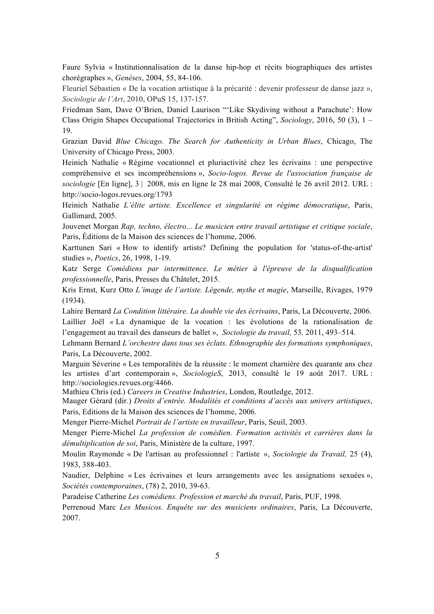Faure Sylvia « Institutionnalisation de la danse hip-hop et récits biographiques des artistes chorégraphes », *Genèses*, 2004, 55, 84-106.

Fleuriel Sébastien « De la vocation artistique à la précarité : devenir professeur de danse jazz », *Sociologie de l'Art*, 2010, OPuS 15, 137-157.

Friedman Sam, Dave O'Brien, Daniel Laurison "'Like Skydiving without a Parachute': How Class Origin Shapes Occupational Trajectories in British Acting", *Sociology*, 2016, 50 (3), 1 – 19.

Grazian David *Blue Chicago. The Search for Authenticity in Urban Blues*, Chicago, The University of Chicago Press, 2003.

Heinich Nathalie « Régime vocationnel et pluriactivité chez les écrivains : une perspective compréhensive et ses incompréhensions », *Socio-logos. Revue de l'association française de sociologie* [En ligne], 3 | 2008, mis en ligne le 28 mai 2008, Consulté le 26 avril 2012. URL : http://socio-logos.revues.org/1793

Heinich Nathalie *L'élite artiste. Excellence et singularité en régime démocratique*, Paris, Gallimard, 2005.

Jouvenet Morgan *Rap, techno, électro... Le musicien entre travail artistique et critique sociale*, Paris, Éditions de la Maison des sciences de l'homme, 2006.

Karttunen Sari « How to identify artists? Defining the population for 'status-of-the-artist' studies », *Poetics*, 26, 1998, 1-19.

Katz Serge *Comédiens par intermittence*. *Le métier à l'épreuve de la disqualification professionnelle*, Paris, Presses du Châtelet, 2015.

Kris Ernst, Kurz Otto *L'image de l'artiste. Légende, mythe et magie*, Marseille, Rivages, 1979 (1934).

Lahire Bernard *La Condition littéraire. La double vie des écrivains*, Paris, La Découverte, 2006. Laillier Joël *«* La dynamique de la vocation : les évolutions de la rationalisation de l'engagement au travail des danseurs de ballet », *Sociologie du travail,* 53*,* 2011, 493–514.

Lehmann Bernard *L'orchestre dans tous ses éclats. Ethnographie des formations symphoniques*, Paris, La Découverte, 2002.

Marguin Séverine « Les temporalités de la réussite : le moment charnière des quarante ans chez les artistes d'art contemporain », *SociologieS*, 2013, consulté le 19 août 2017. URL : http://sociologies.revues.org/4466.

Mathieu Chris (ed.) *Careers in Creative Industries*, London, Routledge, 2012.

Mauger Gérard (dir.) *Droits d'entrée. Modalités et conditions d'accès aux univers artistiques*, Paris, Editions de la Maison des sciences de l'homme, 2006.

Menger Pierre-Michel *Portrait de l'artiste en travailleur*, Paris, Seuil, 2003.

Menger Pierre-Michel *La profession de comédien. Formation activités et carrières dans la démultiplication de soi*, Paris, Ministère de la culture, 1997.

Moulin Raymonde « De l'artisan au professionnel : l'artiste », *Sociologie du Travail,* 25 (4), 1983, 388-403.

Naudier, Delphine « Les écrivaines et leurs arrangements avec les assignations sexuées », *Sociétés contemporaines*, (78) 2, 2010, 39-63.

Paradeise Catherine *Les comédiens. Profession et marché du travail*, Paris, PUF, 1998.

Perrenoud Marc *Les Musicos. Enquête sur des musiciens ordinaires*, Paris, La Découverte, 2007.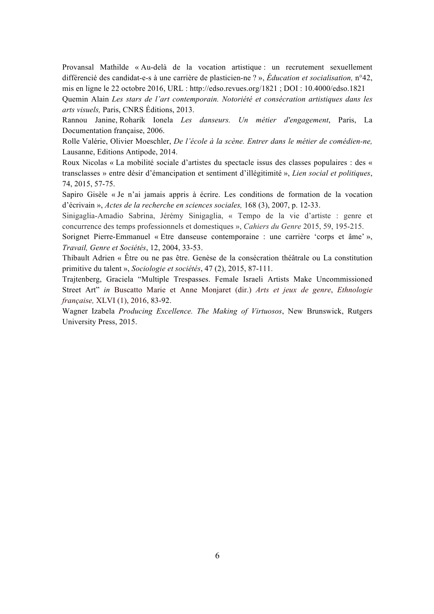Provansal Mathilde « Au-delà de la vocation artistique : un recrutement sexuellement différencié des candidat-e-s à une carrière de plasticien-ne ? », *Éducation et socialisation,* n°42, mis en ligne le 22 octobre 2016, URL : http://edso.revues.org/1821 ; DOI : 10.4000/edso.1821

Quemin Alain *Les stars de l'art contemporain. Notoriété et consécration artistiques dans les arts visuels,* Paris, CNRS Éditions, 2013.

Rannou Janine, Roharik Ionela *Les danseurs. Un métier d'engagement*, Paris, La Documentation française, 2006.

Rolle Valérie, Olivier Moeschler, *De l'école à la scène. Entrer dans le métier de comédien-ne,* Lausanne, Editions Antipode, 2014.

Roux Nicolas « La mobilité sociale d'artistes du spectacle issus des classes populaires : des « transclasses » entre désir d'émancipation et sentiment d'illégitimité », *Lien social et politiques*, 74, 2015, 57-75.

Sapiro Gisèle « Je n'ai jamais appris à écrire. Les conditions de formation de la vocation d'écrivain », *Actes de la recherche en sciences sociales,* 168 (3), 2007, p. 12-33.

Sinigaglia-Amadio Sabrina, Jérémy Sinigaglia, « Tempo de la vie d'artiste : genre et concurrence des temps professionnels et domestiques », *Cahiers du Genre* 2015, 59, 195-215.

Sorignet Pierre-Emmanuel « Etre danseuse contemporaine : une carrière 'corps et âme' », *Travail, Genre et Sociétés*, 12, 2004, 33-53.

Thibault Adrien « Être ou ne pas être. Genèse de la consécration théâtrale ou La constitution primitive du talent », *Sociologie et sociétés*, 47 (2), 2015, 87-111.

Trajtenberg, Graciela "Multiple Trespasses. Female Israeli Artists Make Uncommissioned Street Art" *in* Buscatto Marie et Anne Monjaret (dir.) *Arts et jeux de genre*, *Ethnologie française,* XLVI (1), 2016, 83-92.

Wagner Izabela *Producing Excellence. The Making of Virtuosos*, New Brunswick, Rutgers University Press, 2015.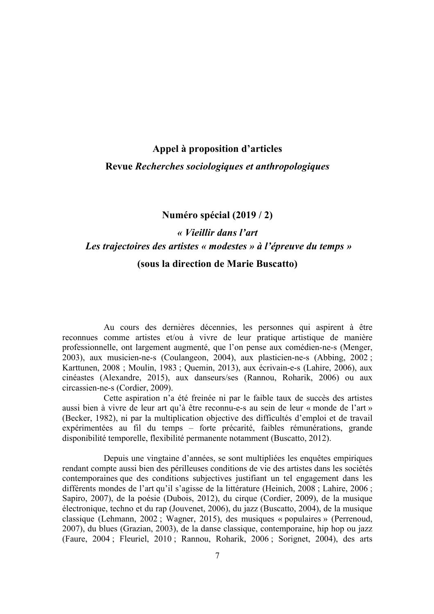# **Appel à proposition d'articles**

# **Revue** *Recherches sociologiques et anthropologiques*

# **Numéro spécial (2019 / 2)**

# *« Vieillir dans l'art Les trajectoires des artistes « modestes » à l'épreuve du temps »*

# **(sous la direction de Marie Buscatto)**

Au cours des dernières décennies, les personnes qui aspirent à être reconnues comme artistes et/ou à vivre de leur pratique artistique de manière professionnelle, ont largement augmenté, que l'on pense aux comédien-ne-s (Menger, 2003), aux musicien-ne-s (Coulangeon, 2004), aux plasticien-ne-s (Abbing, 2002 ; Karttunen, 2008 ; Moulin, 1983 ; Quemin, 2013), aux écrivain-e-s (Lahire, 2006), aux cinéastes (Alexandre, 2015), aux danseurs/ses (Rannou, Roharik, 2006) ou aux circassien-ne-s (Cordier, 2009).

Cette aspiration n'a été freinée ni par le faible taux de succès des artistes aussi bien à vivre de leur art qu'à être reconnu-e-s au sein de leur « monde de l'art » (Becker, 1982), ni par la multiplication objective des difficultés d'emploi et de travail expérimentées au fil du temps – forte précarité, faibles rémunérations, grande disponibilité temporelle, flexibilité permanente notamment (Buscatto, 2012).

Depuis une vingtaine d'années, se sont multipliées les enquêtes empiriques rendant compte aussi bien des périlleuses conditions de vie des artistes dans les sociétés contemporaines que des conditions subjectives justifiant un tel engagement dans les différents mondes de l'art qu'il s'agisse de la littérature (Heinich, 2008 ; Lahire, 2006 ; Sapiro, 2007), de la poésie (Dubois, 2012), du cirque (Cordier, 2009), de la musique électronique, techno et du rap (Jouvenet, 2006), du jazz (Buscatto, 2004), de la musique classique (Lehmann, 2002 ; Wagner, 2015), des musiques « populaires » (Perrenoud, 2007), du blues (Grazian, 2003), de la danse classique, contemporaine, hip hop ou jazz (Faure, 2004 ; Fleuriel, 2010 ; Rannou, Roharik, 2006 ; Sorignet, 2004), des arts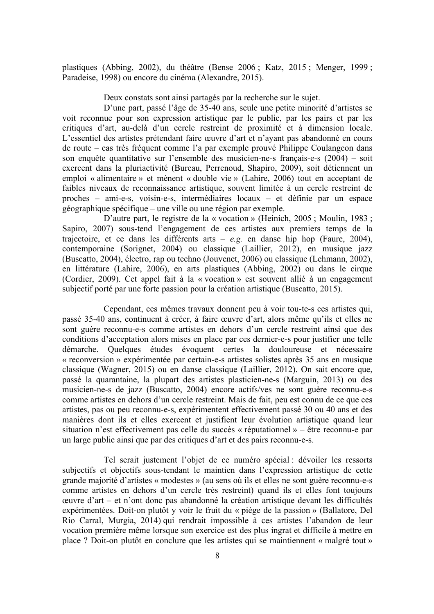plastiques (Abbing, 2002), du théâtre (Bense 2006 ; Katz, 2015 ; Menger, 1999 ; Paradeise, 1998) ou encore du cinéma (Alexandre, 2015).

Deux constats sont ainsi partagés par la recherche sur le sujet.

D'une part, passé l'âge de 35-40 ans, seule une petite minorité d'artistes se voit reconnue pour son expression artistique par le public, par les pairs et par les critiques d'art, au-delà d'un cercle restreint de proximité et à dimension locale. L'essentiel des artistes prétendant faire œuvre d'art et n'ayant pas abandonné en cours de route – cas très fréquent comme l'a par exemple prouvé Philippe Coulangeon dans son enquête quantitative sur l'ensemble des musicien-ne-s français-e-s (2004) – soit exercent dans la pluriactivité (Bureau, Perrenoud, Shapiro, 2009), soit détiennent un emploi « alimentaire » et mènent « double vie » (Lahire, 2006) tout en acceptant de faibles niveaux de reconnaissance artistique, souvent limitée à un cercle restreint de proches – ami-e-s, voisin-e-s, intermédiaires locaux – et définie par un espace géographique spécifique – une ville ou une région par exemple.

D'autre part, le registre de la « vocation » (Heinich, 2005 ; Moulin, 1983 ; Sapiro, 2007) sous-tend l'engagement de ces artistes aux premiers temps de la trajectoire, et ce dans les différents arts – *e.g.* en danse hip hop (Faure, 2004), contemporaine (Sorignet, 2004) ou classique (Laillier, 2012), en musique jazz (Buscatto, 2004), électro, rap ou techno (Jouvenet, 2006) ou classique (Lehmann, 2002), en littérature (Lahire, 2006), en arts plastiques (Abbing, 2002) ou dans le cirque (Cordier, 2009). Cet appel fait à la « vocation » est souvent allié à un engagement subjectif porté par une forte passion pour la création artistique (Buscatto, 2015).

Cependant, ces mêmes travaux donnent peu à voir tou-te-s ces artistes qui, passé 35-40 ans, continuent à créer, à faire œuvre d'art, alors même qu'ils et elles ne sont guère reconnu-e-s comme artistes en dehors d'un cercle restreint ainsi que des conditions d'acceptation alors mises en place par ces dernier-e-s pour justifier une telle démarche. Quelques études évoquent certes la douloureuse et nécessaire « reconversion » expérimentée par certain-e-s artistes solistes après 35 ans en musique classique (Wagner, 2015) ou en danse classique (Laillier, 2012). On sait encore que, passé la quarantaine, la plupart des artistes plasticien-ne-s (Marguin, 2013) ou des musicien-ne-s de jazz (Buscatto, 2004) encore actifs/ves ne sont guère reconnu-e-s comme artistes en dehors d'un cercle restreint. Mais de fait, peu est connu de ce que ces artistes, pas ou peu reconnu-e-s, expérimentent effectivement passé 30 ou 40 ans et des manières dont ils et elles exercent et justifient leur évolution artistique quand leur situation n'est effectivement pas celle du succès « réputationnel » – être reconnu-e par un large public ainsi que par des critiques d'art et des pairs reconnu-e-s.

Tel serait justement l'objet de ce numéro spécial : dévoiler les ressorts subjectifs et objectifs sous-tendant le maintien dans l'expression artistique de cette grande majorité d'artistes « modestes » (au sens où ils et elles ne sont guère reconnu-e-s comme artistes en dehors d'un cercle très restreint) quand ils et elles font toujours œuvre d'art – et n'ont donc pas abandonné la création artistique devant les difficultés expérimentées. Doit-on plutôt y voir le fruit du « piège de la passion » (Ballatore, Del Rio Carral, Murgia, 2014) qui rendrait impossible à ces artistes l'abandon de leur vocation première même lorsque son exercice est des plus ingrat et difficile à mettre en place ? Doit-on plutôt en conclure que les artistes qui se maintiennent « malgré tout »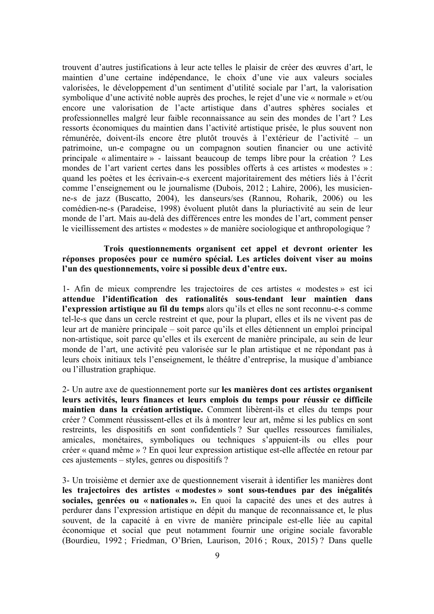trouvent d'autres justifications à leur acte telles le plaisir de créer des œuvres d'art, le maintien d'une certaine indépendance, le choix d'une vie aux valeurs sociales valorisées, le développement d'un sentiment d'utilité sociale par l'art, la valorisation symbolique d'une activité noble auprès des proches, le rejet d'une vie « normale » et/ou encore une valorisation de l'acte artistique dans d'autres sphères sociales et professionnelles malgré leur faible reconnaissance au sein des mondes de l'art ? Les ressorts économiques du maintien dans l'activité artistique prisée, le plus souvent non rémunérée, doivent-ils encore être plutôt trouvés à l'extérieur de l'activité – un patrimoine, un-e compagne ou un compagnon soutien financier ou une activité principale « alimentaire » - laissant beaucoup de temps libre pour la création ? Les mondes de l'art varient certes dans les possibles offerts à ces artistes « modestes » : quand les poètes et les écrivain-e-s exercent majoritairement des métiers liés à l'écrit comme l'enseignement ou le journalisme (Dubois, 2012 ; Lahire, 2006), les musicienne-s de jazz (Buscatto, 2004), les danseurs/ses (Rannou, Roharik, 2006) ou les comédien-ne-s (Paradeise, 1998) évoluent plutôt dans la pluriactivité au sein de leur monde de l'art. Mais au-delà des différences entre les mondes de l'art, comment penser le vieillissement des artistes « modestes » de manière sociologique et anthropologique ?

**Trois questionnements organisent cet appel et devront orienter les réponses proposées pour ce numéro spécial. Les articles doivent viser au moins l'un des questionnements, voire si possible deux d'entre eux.**

1- Afin de mieux comprendre les trajectoires de ces artistes « modestes » est ici **attendue l'identification des rationalités sous-tendant leur maintien dans l'expression artistique au fil du temps** alors qu'ils et elles ne sont reconnu-e-s comme tel-le-s que dans un cercle restreint et que, pour la plupart, elles et ils ne vivent pas de leur art de manière principale – soit parce qu'ils et elles détiennent un emploi principal non-artistique, soit parce qu'elles et ils exercent de manière principale, au sein de leur monde de l'art, une activité peu valorisée sur le plan artistique et ne répondant pas à leurs choix initiaux tels l'enseignement, le théâtre d'entreprise, la musique d'ambiance ou l'illustration graphique.

2- Un autre axe de questionnement porte sur **les manières dont ces artistes organisent leurs activités, leurs finances et leurs emplois du temps pour réussir ce difficile maintien dans la création artistique.** Comment libèrent-ils et elles du temps pour créer ? Comment réussissent-elles et ils à montrer leur art, même si les publics en sont restreints, les dispositifs en sont confidentiels ? Sur quelles ressources familiales, amicales, monétaires, symboliques ou techniques s'appuient-ils ou elles pour créer « quand même » ? En quoi leur expression artistique est-elle affectée en retour par ces ajustements – styles, genres ou dispositifs ?

3- Un troisième et dernier axe de questionnement viserait à identifier les manières dont **les trajectoires des artistes « modestes » sont sous-tendues par des inégalités sociales, genrées ou « nationales ».** En quoi la capacité des unes et des autres à perdurer dans l'expression artistique en dépit du manque de reconnaissance et, le plus souvent, de la capacité à en vivre de manière principale est-elle liée au capital économique et social que peut notamment fournir une origine sociale favorable (Bourdieu, 1992 ; Friedman, O'Brien, Laurison, 2016 ; Roux, 2015) ? Dans quelle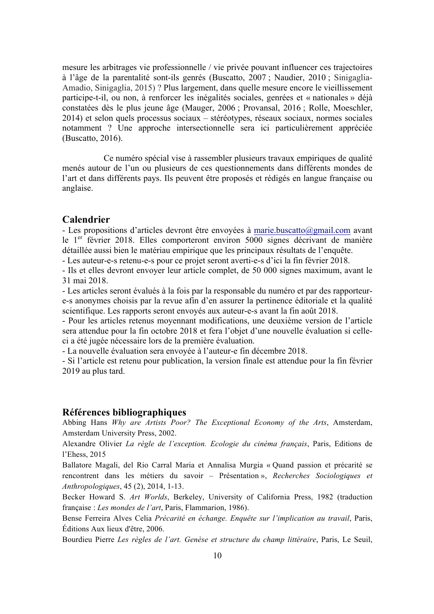mesure les arbitrages vie professionnelle / vie privée pouvant influencer ces trajectoires à l'âge de la parentalité sont-ils genrés (Buscatto, 2007 ; Naudier, 2010 ; Sinigaglia-Amadio, Sinigaglia, 2015) ? Plus largement, dans quelle mesure encore le vieillissement participe-t-il, ou non, à renforcer les inégalités sociales, genrées et « nationales » déjà constatées dès le plus jeune âge (Mauger, 2006 ; Provansal, 2016 ; Rolle, Moeschler, 2014) et selon quels processus sociaux – stéréotypes, réseaux sociaux, normes sociales notamment ? Une approche intersectionnelle sera ici particulièrement appréciée (Buscatto, 2016).

Ce numéro spécial vise à rassembler plusieurs travaux empiriques de qualité menés autour de l'un ou plusieurs de ces questionnements dans différents mondes de l'art et dans différents pays. Ils peuvent être proposés et rédigés en langue française ou anglaise.

#### **Calendrier**

- Les propositions d'articles devront être envoyées à marie.buscatto@gmail.com avant le 1<sup>er</sup> février 2018. Elles comporteront environ 5000 signes décrivant de manière détaillée aussi bien le matériau empirique que les principaux résultats de l'enquête.

- Les auteur-e-s retenu-e-s pour ce projet seront averti-e-s d'ici la fin février 2018.

- Ils et elles devront envoyer leur article complet, de 50 000 signes maximum, avant le 31 mai 2018.

- Les articles seront évalués à la fois par la responsable du numéro et par des rapporteure-s anonymes choisis par la revue afin d'en assurer la pertinence éditoriale et la qualité scientifique. Les rapports seront envoyés aux auteur-e-s avant la fin août 2018.

- Pour les articles retenus moyennant modifications, une deuxième version de l'article sera attendue pour la fin octobre 2018 et fera l'objet d'une nouvelle évaluation si celleci a été jugée nécessaire lors de la première évaluation.

- La nouvelle évaluation sera envoyée à l'auteur-e fin décembre 2018.

- Si l'article est retenu pour publication, la version finale est attendue pour la fin février 2019 au plus tard.

#### **Références bibliographiques**

Abbing Hans *Why are Artists Poor? The Exceptional Economy of the Arts*, Amsterdam, Amsterdam University Press, 2002.

Alexandre Olivier *La règle de l'exception. Ecologie du cinéma français*, Paris, Editions de l'Ehess, 2015

Ballatore Magali, del Rio Carral Maria et Annalisa Murgia « Quand passion et précarité se rencontrent dans les métiers du savoir – Présentation », *Recherches Sociologiques et Anthropologiques*, 45 (2), 2014, 1-13.

Becker Howard S. *Art Worlds*, Berkeley, University of California Press, 1982 (traduction française : *Les mondes de l'art*, Paris, Flammarion, 1986).

Bense Ferreira Alves Celia *Précarité en échange. Enquête sur l'implication au travail*, Paris, Éditions Aux lieux d'être, 2006.

Bourdieu Pierre *Les règles de l'art. Genèse et structure du champ littéraire*, Paris, Le Seuil,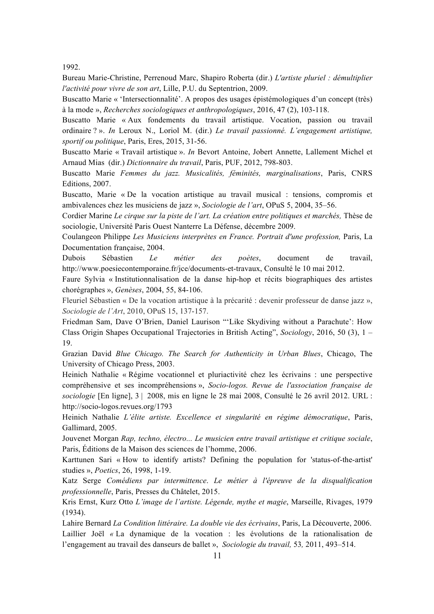1992.

Bureau Marie-Christine, Perrenoud Marc, Shapiro Roberta (dir.) *L'artiste pluriel : démultiplier l'activité pour vivre de son art*, Lille, P.U. du Septentrion, 2009.

Buscatto Marie « 'Intersectionnalité'. A propos des usages épistémologiques d'un concept (très) à la mode », *Recherches sociologiques et anthropologiques*, 2016, 47 (2), 103-118.

Buscatto Marie « Aux fondements du travail artistique. Vocation, passion ou travail ordinaire ? ». *In* Leroux N., Loriol M. (dir.) *Le travail passionné. L'engagement artistique, sportif ou politique*, Paris, Eres, 2015, 31-56.

Buscatto Marie « Travail artistique ». *In* Bevort Antoine, Jobert Annette, Lallement Michel et Arnaud Mias (dir.) *Dictionnaire du travail*, Paris, PUF, 2012, 798-803.

Buscatto Marie *Femmes du jazz. Musicalités, féminités, marginalisations*, Paris, CNRS Editions, 2007.

Buscatto, Marie « De la vocation artistique au travail musical : tensions, compromis et ambivalences chez les musiciens de jazz », *Sociologie de l'art*, OPuS 5, 2004, 35–56.

Cordier Marine *Le cirque sur la piste de l'art. La création entre politiques et marchés,* Thèse de sociologie, Université Paris Ouest Nanterre La Défense, décembre 2009.

Coulangeon Philippe *Les Musiciens interprètes en France. Portrait d'une profession,* Paris, La Documentation française, 2004.

Dubois Sébastien *Le métier des poètes*, document de travail, http://www.poesiecontemporaine.fr/jce/documents-et-travaux, Consulté le 10 mai 2012.

Faure Sylvia « Institutionnalisation de la danse hip-hop et récits biographiques des artistes chorégraphes », *Genèses*, 2004, 55, 84-106.

Fleuriel Sébastien « De la vocation artistique à la précarité : devenir professeur de danse jazz », *Sociologie de l'Art*, 2010, OPuS 15, 137-157.

Friedman Sam, Dave O'Brien, Daniel Laurison "'Like Skydiving without a Parachute': How Class Origin Shapes Occupational Trajectories in British Acting", *Sociology*, 2016, 50 (3), 1 – 19.

Grazian David *Blue Chicago. The Search for Authenticity in Urban Blues*, Chicago, The University of Chicago Press, 2003.

Heinich Nathalie « Régime vocationnel et pluriactivité chez les écrivains : une perspective compréhensive et ses incompréhensions », *Socio-logos. Revue de l'association française de sociologie* [En ligne], 3 | 2008, mis en ligne le 28 mai 2008, Consulté le 26 avril 2012. URL : http://socio-logos.revues.org/1793

Heinich Nathalie *L'élite artiste. Excellence et singularité en régime démocratique*, Paris, Gallimard, 2005.

Jouvenet Morgan *Rap, techno, électro... Le musicien entre travail artistique et critique sociale*, Paris, Éditions de la Maison des sciences de l'homme, 2006.

Karttunen Sari « How to identify artists? Defining the population for 'status-of-the-artist' studies », *Poetics*, 26, 1998, 1-19.

Katz Serge *Comédiens par intermittence*. *Le métier à l'épreuve de la disqualification professionnelle*, Paris, Presses du Châtelet, 2015.

Kris Ernst, Kurz Otto *L'image de l'artiste. Légende, mythe et magie*, Marseille, Rivages, 1979 (1934).

Lahire Bernard *La Condition littéraire. La double vie des écrivains*, Paris, La Découverte, 2006. Laillier Joël *«* La dynamique de la vocation : les évolutions de la rationalisation de l'engagement au travail des danseurs de ballet », *Sociologie du travail,* 53*,* 2011, 493–514.